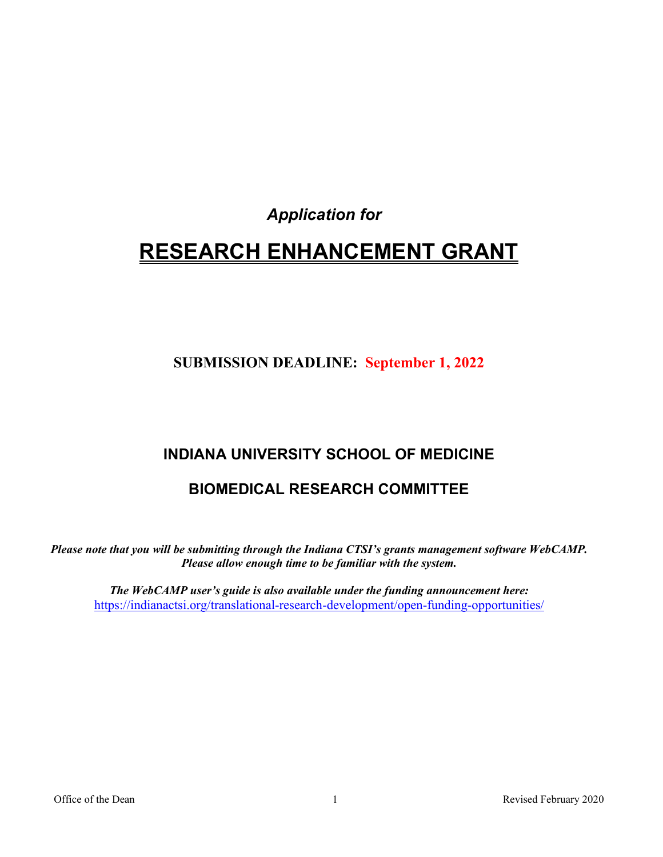## *Application for*

# **RESEARCH ENHANCEMENT GRANT**

## **SUBMISSION DEADLINE: September 1, 2022**

## **INDIANA UNIVERSITY SCHOOL OF MEDICINE**

## **BIOMEDICAL RESEARCH COMMITTEE**

*Please note that you will be submitting through the Indiana CTSI's grants management software WebCAMP. Please allow enough time to be familiar with the system.*

*The WebCAMP user's guide is also available under the funding announcement here:*  <https://indianactsi.org/translational-research-development/open-funding-opportunities/>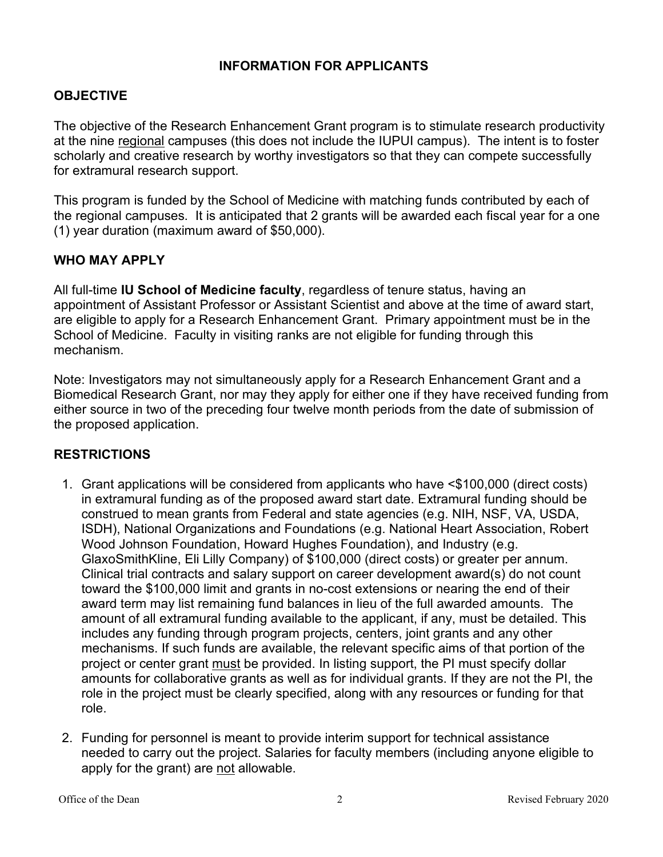### **INFORMATION FOR APPLICANTS**

### **OBJECTIVE**

The objective of the Research Enhancement Grant program is to stimulate research productivity at the nine regional campuses (this does not include the IUPUI campus). The intent is to foster scholarly and creative research by worthy investigators so that they can compete successfully for extramural research support.

This program is funded by the School of Medicine with matching funds contributed by each of the regional campuses. It is anticipated that 2 grants will be awarded each fiscal year for a one (1) year duration (maximum award of \$50,000).

#### **WHO MAY APPLY**

All full-time **IU School of Medicine faculty**, regardless of tenure status, having an appointment of Assistant Professor or Assistant Scientist and above at the time of award start, are eligible to apply for a Research Enhancement Grant. Primary appointment must be in the School of Medicine. Faculty in visiting ranks are not eligible for funding through this mechanism.

Note: Investigators may not simultaneously apply for a Research Enhancement Grant and a Biomedical Research Grant, nor may they apply for either one if they have received funding from either source in two of the preceding four twelve month periods from the date of submission of the proposed application.

#### **RESTRICTIONS**

- 1. Grant applications will be considered from applicants who have <\$100,000 (direct costs) in extramural funding as of the proposed award start date. Extramural funding should be construed to mean grants from Federal and state agencies (e.g. NIH, NSF, VA, USDA, ISDH), National Organizations and Foundations (e.g. National Heart Association, Robert Wood Johnson Foundation, Howard Hughes Foundation), and Industry (e.g. GlaxoSmithKline, Eli Lilly Company) of \$100,000 (direct costs) or greater per annum. Clinical trial contracts and salary support on career development award(s) do not count toward the \$100,000 limit and grants in no-cost extensions or nearing the end of their award term may list remaining fund balances in lieu of the full awarded amounts. The amount of all extramural funding available to the applicant, if any, must be detailed. This includes any funding through program projects, centers, joint grants and any other mechanisms. If such funds are available, the relevant specific aims of that portion of the project or center grant must be provided. In listing support, the PI must specify dollar amounts for collaborative grants as well as for individual grants. If they are not the PI, the role in the project must be clearly specified, along with any resources or funding for that role.
- 2. Funding for personnel is meant to provide interim support for technical assistance needed to carry out the project. Salaries for faculty members (including anyone eligible to apply for the grant) are not allowable.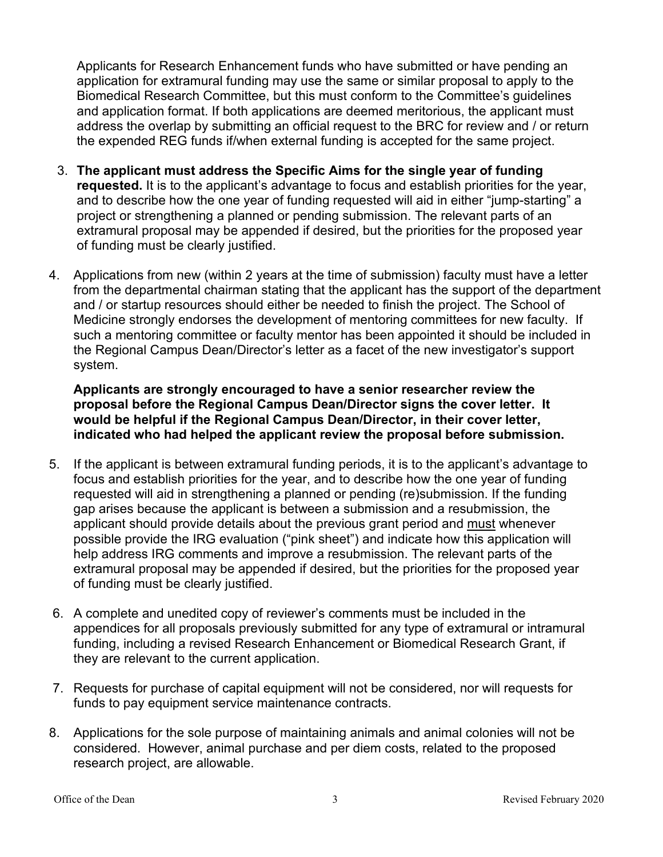Applicants for Research Enhancement funds who have submitted or have pending an application for extramural funding may use the same or similar proposal to apply to the Biomedical Research Committee, but this must conform to the Committee's guidelines and application format. If both applications are deemed meritorious, the applicant must address the overlap by submitting an official request to the BRC for review and / or return the expended REG funds if/when external funding is accepted for the same project.

- 3. **The applicant must address the Specific Aims for the single year of funding requested.** It is to the applicant's advantage to focus and establish priorities for the year, and to describe how the one year of funding requested will aid in either "jump-starting" a project or strengthening a planned or pending submission. The relevant parts of an extramural proposal may be appended if desired, but the priorities for the proposed year of funding must be clearly justified.
- 4. Applications from new (within 2 years at the time of submission) faculty must have a letter from the departmental chairman stating that the applicant has the support of the department and / or startup resources should either be needed to finish the project. The School of Medicine strongly endorses the development of mentoring committees for new faculty. If such a mentoring committee or faculty mentor has been appointed it should be included in the Regional Campus Dean/Director's letter as a facet of the new investigator's support system.

**Applicants are strongly encouraged to have a senior researcher review the proposal before the Regional Campus Dean/Director signs the cover letter. It would be helpful if the Regional Campus Dean/Director, in their cover letter, indicated who had helped the applicant review the proposal before submission.**

- 5. If the applicant is between extramural funding periods, it is to the applicant's advantage to focus and establish priorities for the year, and to describe how the one year of funding requested will aid in strengthening a planned or pending (re)submission. If the funding gap arises because the applicant is between a submission and a resubmission, the applicant should provide details about the previous grant period and must whenever possible provide the IRG evaluation ("pink sheet") and indicate how this application will help address IRG comments and improve a resubmission. The relevant parts of the extramural proposal may be appended if desired, but the priorities for the proposed year of funding must be clearly justified.
- 6. A complete and unedited copy of reviewer's comments must be included in the appendices for all proposals previously submitted for any type of extramural or intramural funding, including a revised Research Enhancement or Biomedical Research Grant, if they are relevant to the current application.
- 7. Requests for purchase of capital equipment will not be considered, nor will requests for funds to pay equipment service maintenance contracts.
- 8. Applications for the sole purpose of maintaining animals and animal colonies will not be considered. However, animal purchase and per diem costs, related to the proposed research project, are allowable.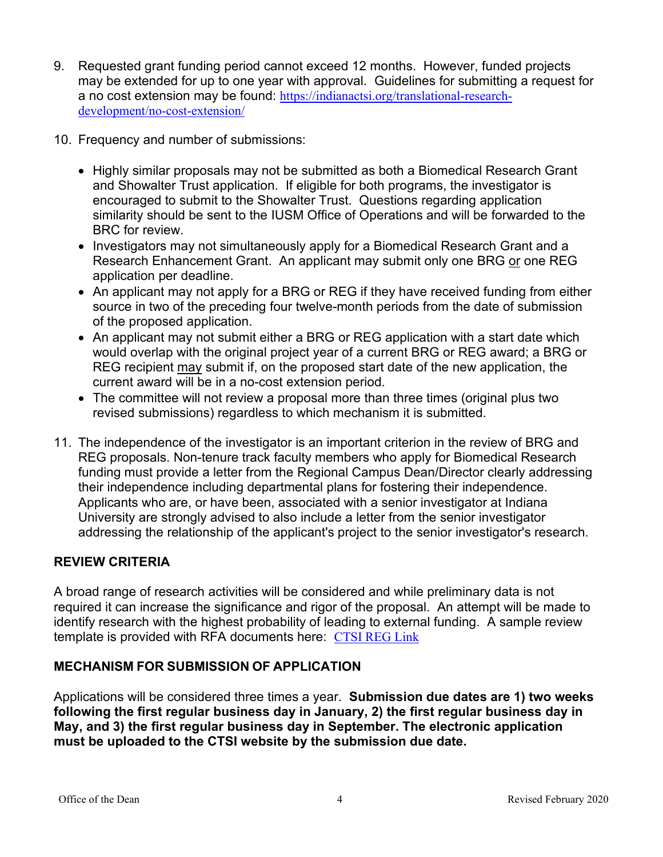- 9. Requested grant funding period cannot exceed 12 months. However, funded projects may be extended for up to one year with approval. Guidelines for submitting a request for a no cost extension may be found: [https://indianactsi.org/translational-research](https://indianactsi.org/translational-research-development/no-cost-extension/)[development/no-cost-extension/](https://indianactsi.org/translational-research-development/no-cost-extension/)
- 10. Frequency and number of submissions:
	- Highly similar proposals may not be submitted as both a Biomedical Research Grant and Showalter Trust application. If eligible for both programs, the investigator is encouraged to submit to the Showalter Trust. Questions regarding application similarity should be sent to the IUSM Office of Operations and will be forwarded to the BRC for review.
	- Investigators may not simultaneously apply for a Biomedical Research Grant and a Research Enhancement Grant. An applicant may submit only one BRG or one REG application per deadline.
	- An applicant may not apply for a BRG or REG if they have received funding from either source in two of the preceding four twelve-month periods from the date of submission of the proposed application.
	- An applicant may not submit either a BRG or REG application with a start date which would overlap with the original project year of a current BRG or REG award; a BRG or REG recipient may submit if, on the proposed start date of the new application, the current award will be in a no-cost extension period.
	- The committee will not review a proposal more than three times (original plus two revised submissions) regardless to which mechanism it is submitted.
- 11. The independence of the investigator is an important criterion in the review of BRG and REG proposals. Non-tenure track faculty members who apply for Biomedical Research funding must provide a letter from the Regional Campus Dean/Director clearly addressing their independence including departmental plans for fostering their independence. Applicants who are, or have been, associated with a senior investigator at Indiana University are strongly advised to also include a letter from the senior investigator addressing the relationship of the applicant's project to the senior investigator's research.

## **REVIEW CRITERIA**

A broad range of research activities will be considered and while preliminary data is not required it can increase the significance and rigor of the proposal. An attempt will be made to identify research with the highest probability of leading to external funding. A sample review template is provided with RFA documents here: [CTSI REG Link](https://indianactsi.org/translational-research-development/open-funding-opportunities#REG202209)

## **MECHANISM FOR SUBMISSION OF APPLICATION**

Applications will be considered three times a year. **Submission due dates are 1) two weeks following the first regular business day in January, 2) the first regular business day in May, and 3) the first regular business day in September. The electronic application must be uploaded to the CTSI website by the submission due date.**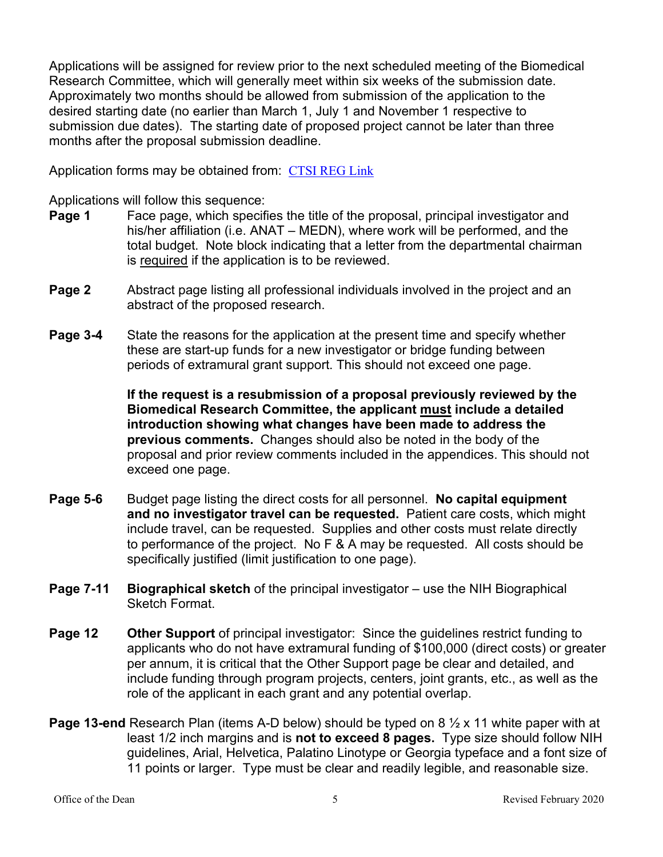Applications will be assigned for review prior to the next scheduled meeting of the Biomedical Research Committee, which will generally meet within six weeks of the submission date. Approximately two months should be allowed from submission of the application to the desired starting date (no earlier than March 1, July 1 and November 1 respective to submission due dates). The starting date of proposed project cannot be later than three months after the proposal submission deadline.

Application forms may be obtained from: [CTSI REG Link](https://indianactsi.org/translational-research-development/open-funding-opportunities#REG202209)

Applications will follow this sequence:

- **Page 1** Face page, which specifies the title of the proposal, principal investigator and his/her affiliation (i.e. ANAT – MEDN), where work will be performed, and the total budget. Note block indicating that a letter from the departmental chairman is required if the application is to be reviewed.
- **Page 2** Abstract page listing all professional individuals involved in the project and an abstract of the proposed research.
- **Page 3-4** State the reasons for the application at the present time and specify whether these are start-up funds for a new investigator or bridge funding between periods of extramural grant support. This should not exceed one page.

**If the request is a resubmission of a proposal previously reviewed by the Biomedical Research Committee, the applicant must include a detailed introduction showing what changes have been made to address the previous comments.** Changes should also be noted in the body of the proposal and prior review comments included in the appendices. This should not exceed one page.

- **Page 5-6** Budget page listing the direct costs for all personnel. **No capital equipment and no investigator travel can be requested.** Patient care costs, which might include travel, can be requested. Supplies and other costs must relate directly to performance of the project. No F & A may be requested. All costs should be specifically justified (limit justification to one page).
- **Page 7-11 Biographical sketch** of the principal investigator use the NIH Biographical Sketch Format.
- **Page 12 Other Support** of principal investigator: Since the guidelines restrict funding to applicants who do not have extramural funding of \$100,000 (direct costs) or greater per annum, it is critical that the Other Support page be clear and detailed, and include funding through program projects, centers, joint grants, etc., as well as the role of the applicant in each grant and any potential overlap.
- **Page 13-end** Research Plan (items A-D below) should be typed on 8 ½ x 11 white paper with at least 1/2 inch margins and is **not to exceed 8 pages.** Type size should follow NIH guidelines, Arial, Helvetica, Palatino Linotype or Georgia typeface and a font size of 11 points or larger. Type must be clear and readily legible, and reasonable size.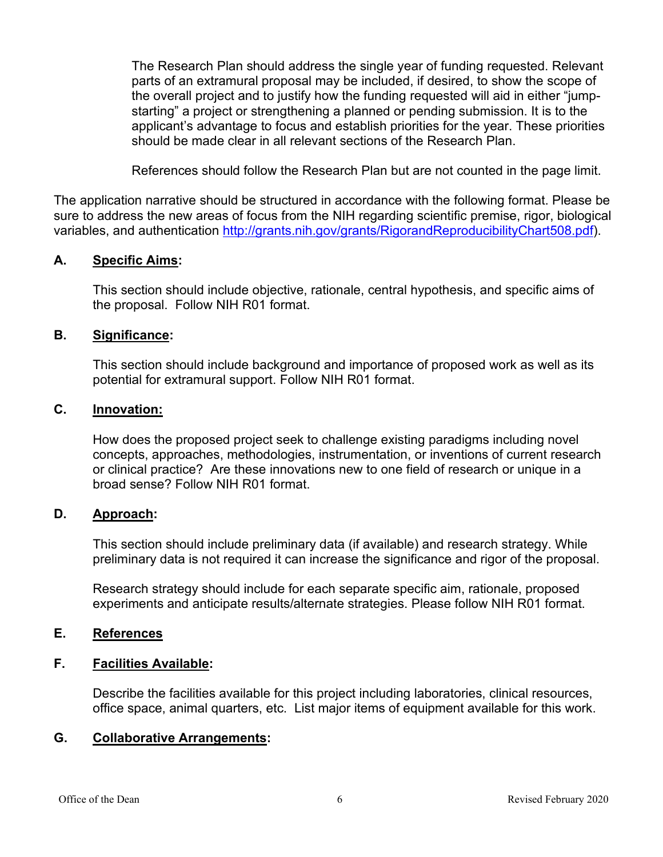The Research Plan should address the single year of funding requested. Relevant parts of an extramural proposal may be included, if desired, to show the scope of the overall project and to justify how the funding requested will aid in either "jumpstarting" a project or strengthening a planned or pending submission. It is to the applicant's advantage to focus and establish priorities for the year. These priorities should be made clear in all relevant sections of the Research Plan.

References should follow the Research Plan but are not counted in the page limit.

The application narrative should be structured in accordance with the following format. Please be sure to address the new areas of focus from the NIH regarding scientific premise, rigor, biological variables, and authentication [http://grants.nih.gov/grants/RigorandReproducibilityChart508.pdf\)](http://grants.nih.gov/grants/RigorandReproducibilityChart508.pdf).

#### **A. Specific Aims:**

This section should include objective, rationale, central hypothesis, and specific aims of the proposal. Follow NIH R01 format.

#### **B. Significance:**

This section should include background and importance of proposed work as well as its potential for extramural support. Follow NIH R01 format.

#### **C. Innovation:**

How does the proposed project seek to challenge existing paradigms including novel concepts, approaches, methodologies, instrumentation, or inventions of current research or clinical practice? Are these innovations new to one field of research or unique in a broad sense? Follow NIH R01 format.

#### **D. Approach:**

This section should include preliminary data (if available) and research strategy. While preliminary data is not required it can increase the significance and rigor of the proposal.

Research strategy should include for each separate specific aim, rationale, proposed experiments and anticipate results/alternate strategies. Please follow NIH R01 format.

#### **E. References**

#### **F. Facilities Available:**

Describe the facilities available for this project including laboratories, clinical resources, office space, animal quarters, etc. List major items of equipment available for this work.

#### **G. Collaborative Arrangements:**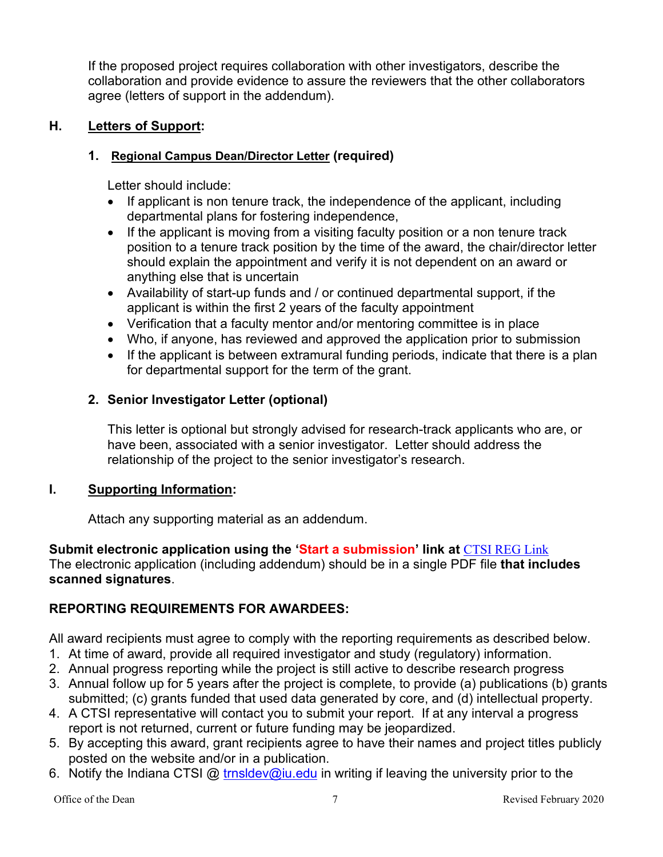If the proposed project requires collaboration with other investigators, describe the collaboration and provide evidence to assure the reviewers that the other collaborators agree (letters of support in the addendum).

## **H. Letters of Support:**

## **1. Regional Campus Dean/Director Letter (required)**

Letter should include:

- If applicant is non tenure track, the independence of the applicant, including departmental plans for fostering independence,
- If the applicant is moving from a visiting faculty position or a non tenure track position to a tenure track position by the time of the award, the chair/director letter should explain the appointment and verify it is not dependent on an award or anything else that is uncertain
- Availability of start-up funds and / or continued departmental support, if the applicant is within the first 2 years of the faculty appointment
- Verification that a faculty mentor and/or mentoring committee is in place
- Who, if anyone, has reviewed and approved the application prior to submission
- If the applicant is between extramural funding periods, indicate that there is a plan for departmental support for the term of the grant.

## **2. Senior Investigator Letter (optional)**

This letter is optional but strongly advised for research-track applicants who are, or have been, associated with a senior investigator. Letter should address the relationship of the project to the senior investigator's research.

## **I. Supporting Information:**

Attach any supporting material as an addendum.

## **Submit electronic application using the 'Start a submission' link at** [CTSI REG Link](https://indianactsi.org/translational-research-development/open-funding-opportunities#REG202209)

The electronic application (including addendum) should be in a single PDF file **that includes scanned signatures**.

## **REPORTING REQUIREMENTS FOR AWARDEES:**

- All award recipients must agree to comply with the reporting requirements as described below.
- 1. At time of award, provide all required investigator and study (regulatory) information.
- 2. Annual progress reporting while the project is still active to describe research progress
- 3. Annual follow up for 5 years after the project is complete, to provide (a) publications (b) grants submitted; (c) grants funded that used data generated by core, and (d) intellectual property.
- 4. A CTSI representative will contact you to submit your report. If at any interval a progress report is not returned, current or future funding may be jeopardized.
- 5. By accepting this award, grant recipients agree to have their names and project titles publicly posted on the website and/or in a publication.
- 6. Notify the Indiana CTSI @ [trnsldev@iu.edu](mailto:trnsldev@iu.edu) in writing if leaving the university prior to the